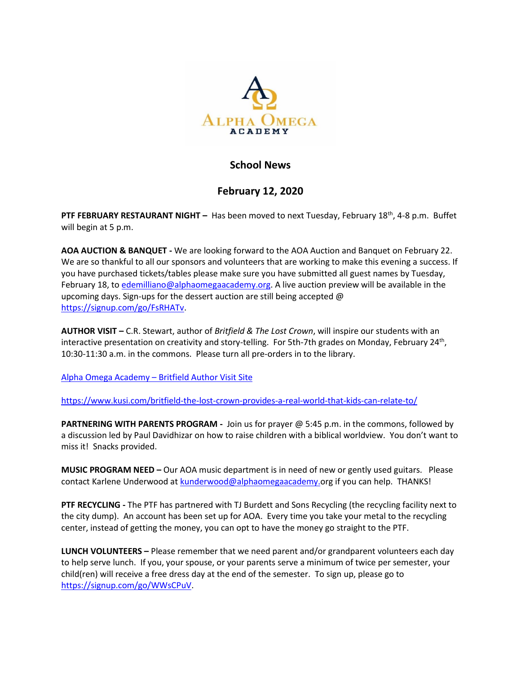

## **School News**

## **February 12, 2020**

PTF FEBRUARY RESTAURANT NIGHT - Has been moved to next Tuesday, February 18<sup>th</sup>, 4-8 p.m. Buffet will begin at 5 p.m.

**AOA AUCTION & BANQUET -** We are looking forward to the AOA Auction and Banquet on February 22. We are so thankful to all our sponsors and volunteers that are working to make this evening a success. If you have purchased tickets/tables please make sure you have submitted all guest names by Tuesday, February 18, to [edemilliano@alphaomegaacademy.org.](mailto:edemilliano@alphaomegaacademy.org) A live auction preview will be available in the upcoming days. Sign-ups for the dessert auction are still being accepted @ [https://signup.com/go/FsRHATv.](https://signup.com/go/FsRHATv)

**AUTHOR VISIT –** C.R. Stewart, author of *Britfield & The Lost Crown*, will inspire our students with an interactive presentation on creativity and story-telling. For 5th-7th grades on Monday, February 24<sup>th</sup>, 10:30-11:30 a.m. in the commons. Please turn all pre-orders in to the library.

Alpha Omega Academy – [Britfield Author Visit Site](https://authorvisit.britfield.com/alpha-tx/)

<https://www.kusi.com/britfield-the-lost-crown-provides-a-real-world-that-kids-can-relate-to/>

**PARTNERING WITH PARENTS PROGRAM -** Join us for prayer @ 5:45 p.m. in the commons, followed by a discussion led by Paul Davidhizar on how to raise children with a biblical worldview. You don't want to miss it! Snacks provided.

**MUSIC PROGRAM NEED –** Our AOA music department is in need of new or gently used guitars. Please contact Karlene Underwood a[t kunderwood@alphaomegaacademy.o](mailto:kunderwood@alphaomegaacademy.)rg if you can help. THANKS!

**PTF RECYCLING -** The PTF has partnered with TJ Burdett and Sons Recycling (the recycling facility next to the city dump). An account has been set up for AOA. Every time you take your metal to the recycling center, instead of getting the money, you can opt to have the money go straight to the PTF.

**LUNCH VOLUNTEERS –** Please remember that we need parent and/or grandparent volunteers each day to help serve lunch. If you, your spouse, or your parents serve a minimum of twice per semester, your child(ren) will receive a free dress day at the end of the semester. To sign up, please go to [https://signup.com/go/WWsCPuV.](https://signup.com/go/WWsCPuV)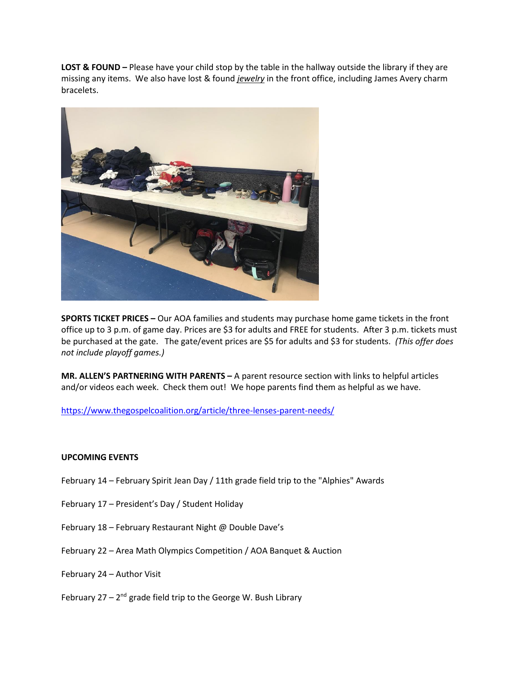**LOST & FOUND –** Please have your child stop by the table in the hallway outside the library if they are missing any items. We also have lost & found *jewelry* in the front office, including James Avery charm bracelets.



**SPORTS TICKET PRICES –** Our AOA families and students may purchase home game tickets in the front office up to 3 p.m. of game day. Prices are \$3 for adults and FREE for students. After 3 p.m. tickets must be purchased at the gate. The gate/event prices are \$5 for adults and \$3 for students. *(This offer does not include playoff games.)*

**MR. ALLEN'S PARTNERING WITH PARENTS –** A parent resource section with links to helpful articles and/or videos each week. Check them out! We hope parents find them as helpful as we have.

<https://www.thegospelcoalition.org/article/three-lenses-parent-needs/>

## **UPCOMING EVENTS**

- February 14 February Spirit Jean Day / 11th grade field trip to the "Alphies" Awards
- February 17 President's Day / Student Holiday
- February 18 February Restaurant Night @ Double Dave's
- February 22 Area Math Olympics Competition / AOA Banquet & Auction
- February 24 Author Visit
- February 27 2<sup>nd</sup> grade field trip to the George W. Bush Library